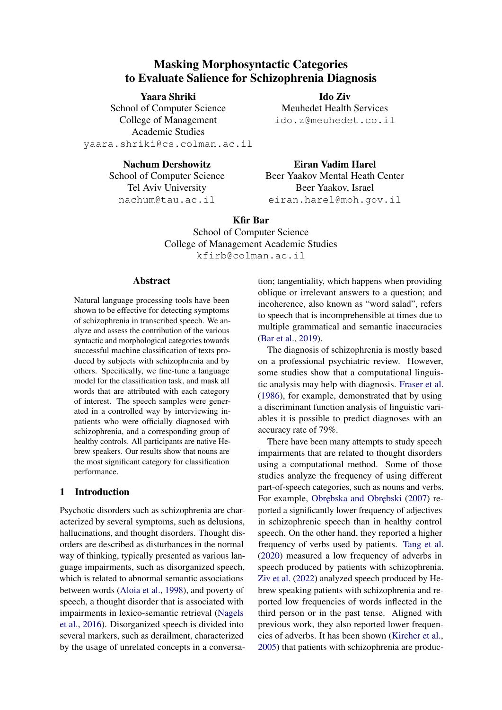# Masking Morphosyntactic Categories to Evaluate Salience for Schizophrenia Diagnosis

#### Yaara Shriki

Ido Ziv Meuhedet Health Services ido.z@meuhedet.co.il

School of Computer Science College of Management Academic Studies yaara.shriki@cs.colman.ac.il

> Nachum Dershowitz School of Computer Science Tel Aviv University nachum@tau.ac.il

Eiran Vadim Harel Beer Yaakov Mental Heath Center Beer Yaakov, Israel eiran.harel@moh.gov.il

# Kfir Bar

School of Computer Science College of Management Academic Studies kfirb@colman.ac.il

# Abstract

Natural language processing tools have been shown to be effective for detecting symptoms of schizophrenia in transcribed speech. We analyze and assess the contribution of the various syntactic and morphological categories towards successful machine classification of texts produced by subjects with schizophrenia and by others. Specifically, we fine-tune a language model for the classification task, and mask all words that are attributed with each category of interest. The speech samples were generated in a controlled way by interviewing inpatients who were officially diagnosed with schizophrenia, and a corresponding group of healthy controls. All participants are native Hebrew speakers. Our results show that nouns are the most significant category for classification performance.

# 1 Introduction

Psychotic disorders such as schizophrenia are characterized by several symptoms, such as delusions, hallucinations, and thought disorders. Thought disorders are described as disturbances in the normal way of thinking, typically presented as various language impairments, such as disorganized speech, which is related to abnormal semantic associations between words [\(Aloia et al.,](#page-8-0) [1998\)](#page-8-0), and poverty of speech, a thought disorder that is associated with impairments in lexico-semantic retrieval [\(Nagels](#page-9-0) [et al.,](#page-9-0) [2016\)](#page-9-0). Disorganized speech is divided into several markers, such as derailment, characterized by the usage of unrelated concepts in a conversation; tangentiality, which happens when providing oblique or irrelevant answers to a question; and incoherence, also known as "word salad", refers to speech that is incomprehensible at times due to multiple grammatical and semantic inaccuracies [\(Bar et al.,](#page-8-1) [2019\)](#page-8-1).

The diagnosis of schizophrenia is mostly based on a professional psychiatric review. However, some studies show that a computational linguistic analysis may help with diagnosis. [Fraser et al.](#page-8-2) [\(1986\)](#page-8-2), for example, demonstrated that by using a discriminant function analysis of linguistic variables it is possible to predict diagnoses with an accuracy rate of 79%.

There have been many attempts to study speech impairments that are related to thought disorders using a computational method. Some of those studies analyze the frequency of using different part-of-speech categories, such as nouns and verbs. For example, Obrebska and Obrebski [\(2007\)](#page-9-1) reported a significantly lower frequency of adjectives in schizophrenic speech than in healthy control speech. On the other hand, they reported a higher frequency of verbs used by patients. [Tang et al.](#page-9-2) [\(2020\)](#page-9-2) measured a low frequency of adverbs in speech produced by patients with schizophrenia. [Ziv et al.](#page-9-3) [\(2022\)](#page-9-3) analyzed speech produced by Hebrew speaking patients with schizophrenia and reported low frequencies of words inflected in the third person or in the past tense. Aligned with previous work, they also reported lower frequencies of adverbs. It has been shown [\(Kircher et al.,](#page-9-4) [2005\)](#page-9-4) that patients with schizophrenia are produc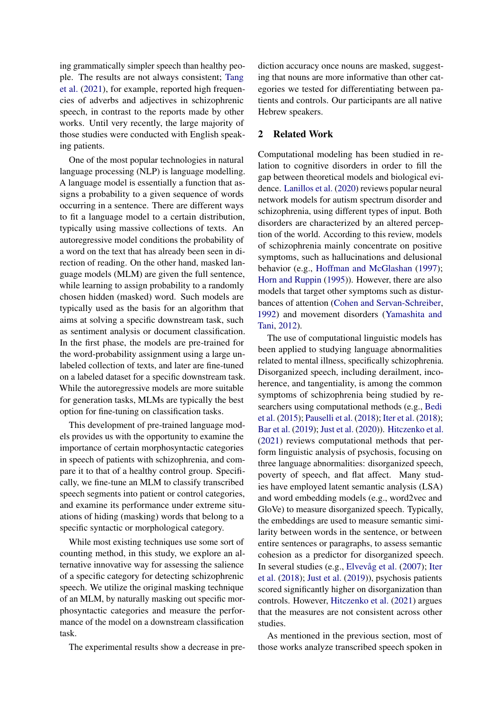ing grammatically simpler speech than healthy people. The results are not always consistent; [Tang](#page-9-5) [et al.](#page-9-5) [\(2021\)](#page-9-5), for example, reported high frequencies of adverbs and adjectives in schizophrenic speech, in contrast to the reports made by other works. Until very recently, the large majority of those studies were conducted with English speaking patients.

One of the most popular technologies in natural language processing (NLP) is language modelling. A language model is essentially a function that assigns a probability to a given sequence of words occurring in a sentence. There are different ways to fit a language model to a certain distribution, typically using massive collections of texts. An autoregressive model conditions the probability of a word on the text that has already been seen in direction of reading. On the other hand, masked language models (MLM) are given the full sentence, while learning to assign probability to a randomly chosen hidden (masked) word. Such models are typically used as the basis for an algorithm that aims at solving a specific downstream task, such as sentiment analysis or document classification. In the first phase, the models are pre-trained for the word-probability assignment using a large unlabeled collection of texts, and later are fine-tuned on a labeled dataset for a specific downstream task. While the autoregressive models are more suitable for generation tasks, MLMs are typically the best option for fine-tuning on classification tasks.

This development of pre-trained language models provides us with the opportunity to examine the importance of certain morphosyntactic categories in speech of patients with schizophrenia, and compare it to that of a healthy control group. Specifically, we fine-tune an MLM to classify transcribed speech segments into patient or control categories, and examine its performance under extreme situations of hiding (masking) words that belong to a specific syntactic or morphological category.

While most existing techniques use some sort of counting method, in this study, we explore an alternative innovative way for assessing the salience of a specific category for detecting schizophrenic speech. We utilize the original masking technique of an MLM, by naturally masking out specific morphosyntactic categories and measure the performance of the model on a downstream classification task.

The experimental results show a decrease in pre-

diction accuracy once nouns are masked, suggesting that nouns are more informative than other categories we tested for differentiating between patients and controls. Our participants are all native Hebrew speakers.

#### 2 Related Work

Computational modeling has been studied in relation to cognitive disorders in order to fill the gap between theoretical models and biological evidence. [Lanillos et al.](#page-9-6) [\(2020\)](#page-9-6) reviews popular neural network models for autism spectrum disorder and schizophrenia, using different types of input. Both disorders are characterized by an altered perception of the world. According to this review, models of schizophrenia mainly concentrate on positive symptoms, such as hallucinations and delusional behavior (e.g., [Hoffman and McGlashan](#page-8-3) [\(1997\)](#page-8-3); [Horn and Ruppin](#page-8-4) [\(1995\)](#page-8-4)). However, there are also models that target other symptoms such as disturbances of attention [\(Cohen and Servan-Schreiber,](#page-8-5) [1992\)](#page-8-5) and movement disorders [\(Yamashita and](#page-9-7) [Tani,](#page-9-7) [2012\)](#page-9-7).

The use of computational linguistic models has been applied to studying language abnormalities related to mental illness, specifically schizophrenia. Disorganized speech, including derailment, incoherence, and tangentiality, is among the common symptoms of schizophrenia being studied by researchers using computational methods (e.g., [Bedi](#page-8-6) [et al.](#page-8-6) [\(2015\)](#page-8-6); [Pauselli et al.](#page-9-8) [\(2018\)](#page-9-8); [Iter et al.](#page-8-7) [\(2018\)](#page-8-7); [Bar et al.](#page-8-1) [\(2019\)](#page-8-1); [Just et al.](#page-9-9) [\(2020\)](#page-9-9)). [Hitczenko et al.](#page-8-8) [\(2021\)](#page-8-8) reviews computational methods that perform linguistic analysis of psychosis, focusing on three language abnormalities: disorganized speech, poverty of speech, and flat affect. Many studies have employed latent semantic analysis (LSA) and word embedding models (e.g., word2vec and GloVe) to measure disorganized speech. Typically, the embeddings are used to measure semantic similarity between words in the sentence, or between entire sentences or paragraphs, to assess semantic cohesion as a predictor for disorganized speech. In several studies (e.g., [Elvevåg et al.](#page-8-9) [\(2007\)](#page-8-9); [Iter](#page-8-7) [et al.](#page-8-7) [\(2018\)](#page-8-7); [Just et al.](#page-8-10) [\(2019\)](#page-8-10)), psychosis patients scored significantly higher on disorganization than controls. However, [Hitczenko et al.](#page-8-8) [\(2021\)](#page-8-8) argues that the measures are not consistent across other studies.

As mentioned in the previous section, most of those works analyze transcribed speech spoken in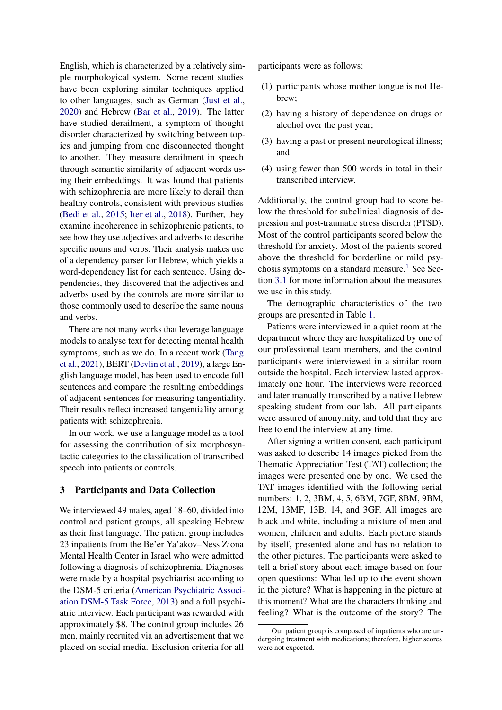English, which is characterized by a relatively simple morphological system. Some recent studies have been exploring similar techniques applied to other languages, such as German [\(Just et al.,](#page-9-9) [2020\)](#page-9-9) and Hebrew [\(Bar et al.,](#page-8-1) [2019\)](#page-8-1). The latter have studied derailment, a symptom of thought disorder characterized by switching between topics and jumping from one disconnected thought to another. They measure derailment in speech through semantic similarity of adjacent words using their embeddings. It was found that patients with schizophrenia are more likely to derail than healthy controls, consistent with previous studies [\(Bedi et al.,](#page-8-6) [2015;](#page-8-6) [Iter et al.,](#page-8-7) [2018\)](#page-8-7). Further, they examine incoherence in schizophrenic patients, to see how they use adjectives and adverbs to describe specific nouns and verbs. Their analysis makes use of a dependency parser for Hebrew, which yields a word-dependency list for each sentence. Using dependencies, they discovered that the adjectives and adverbs used by the controls are more similar to those commonly used to describe the same nouns and verbs.

There are not many works that leverage language models to analyse text for detecting mental health symptoms, such as we do. In a recent work [\(Tang](#page-9-5) [et al.,](#page-9-5) [2021\)](#page-9-5), BERT [\(Devlin et al.,](#page-8-11) [2019\)](#page-8-11), a large English language model, has been used to encode full sentences and compare the resulting embeddings of adjacent sentences for measuring tangentiality. Their results reflect increased tangentiality among patients with schizophrenia.

In our work, we use a language model as a tool for assessing the contribution of six morphosyntactic categories to the classification of transcribed speech into patients or controls.

### 3 Participants and Data Collection

We interviewed 49 males, aged 18–60, divided into control and patient groups, all speaking Hebrew as their first language. The patient group includes 23 inpatients from the Be'er Ya'akov–Ness Ziona Mental Health Center in Israel who were admitted following a diagnosis of schizophrenia. Diagnoses were made by a hospital psychiatrist according to the DSM-5 criteria [\(American Psychiatric Associ](#page-8-12)[ation DSM-5 Task Force,](#page-8-12) [2013\)](#page-8-12) and a full psychiatric interview. Each participant was rewarded with approximately \$8. The control group includes 26 men, mainly recruited via an advertisement that we placed on social media. Exclusion criteria for all

participants were as follows:

- (1) participants whose mother tongue is not Hebrew;
- (2) having a history of dependence on drugs or alcohol over the past year;
- (3) having a past or present neurological illness; and
- (4) using fewer than 500 words in total in their transcribed interview.

Additionally, the control group had to score below the threshold for subclinical diagnosis of depression and post-traumatic stress disorder (PTSD). Most of the control participants scored below the threshold for anxiety. Most of the patients scored above the threshold for borderline or mild psy-chosis symptoms on a standard measure.<sup>[1](#page-2-0)</sup> See Section [3.1](#page-3-0) for more information about the measures we use in this study.

The demographic characteristics of the two groups are presented in Table [1.](#page-3-1)

Patients were interviewed in a quiet room at the department where they are hospitalized by one of our professional team members, and the control participants were interviewed in a similar room outside the hospital. Each interview lasted approximately one hour. The interviews were recorded and later manually transcribed by a native Hebrew speaking student from our lab. All participants were assured of anonymity, and told that they are free to end the interview at any time.

After signing a written consent, each participant was asked to describe 14 images picked from the Thematic Appreciation Test (TAT) collection; the images were presented one by one. We used the TAT images identified with the following serial numbers: 1, 2, 3BM, 4, 5, 6BM, 7GF, 8BM, 9BM, 12M, 13MF, 13B, 14, and 3GF. All images are black and white, including a mixture of men and women, children and adults. Each picture stands by itself, presented alone and has no relation to the other pictures. The participants were asked to tell a brief story about each image based on four open questions: What led up to the event shown in the picture? What is happening in the picture at this moment? What are the characters thinking and feeling? What is the outcome of the story? The

<span id="page-2-0"></span><sup>&</sup>lt;sup>1</sup>Our patient group is composed of inpatients who are undergoing treatment with medications; therefore, higher scores were not expected.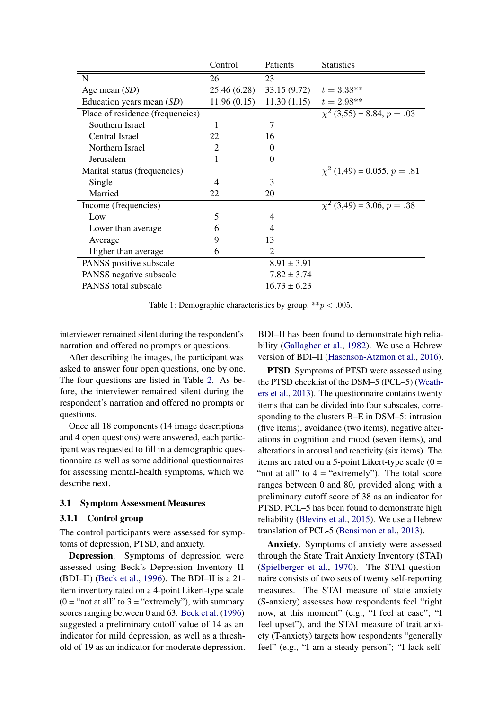<span id="page-3-1"></span>

|                                  | Control        | Patients                  | <b>Statistics</b>                 |
|----------------------------------|----------------|---------------------------|-----------------------------------|
| N                                | 26             | 23                        |                                   |
| Age mean $(SD)$                  | 25.46 (6.28)   | 33.15 (9.72) $t = 3.38**$ |                                   |
| Education years mean $(SD)$      | 11.96(0.15)    | 11.30(1.15)               | $t = 2.98**$                      |
| Place of residence (frequencies) |                |                           | $\chi^2$ (3,55) = 8.84, $p = .03$ |
| Southern Israel                  | 1              | 7                         |                                   |
| Central Israel                   | 22             | 16                        |                                   |
| Northern Israel                  | $\overline{2}$ | 0                         |                                   |
| Jerusalem                        |                | $\Omega$                  |                                   |
| Marital status (frequencies)     |                |                           | $\chi^2$ (1,49) = 0.055, p = .81  |
| Single                           | 4              | 3                         |                                   |
| Married                          | 22             | 20                        |                                   |
| Income (frequencies)             |                |                           | $\chi^2$ (3,49) = 3.06, p = .38   |
| Low                              | 5              | 4                         |                                   |
| Lower than average               | 6              | 4                         |                                   |
| Average                          | 9              | 13                        |                                   |
| Higher than average              | 6              | $\overline{2}$            |                                   |
| PANSS positive subscale          |                | $8.91 \pm 3.91$           |                                   |
| PANSS negative subscale          |                | $7.82 \pm 3.74$           |                                   |
| PANSS total subscale             |                | $16.73 \pm 6.23$          |                                   |

Table 1: Demographic characteristics by group.  $**p < .005$ .

interviewer remained silent during the respondent's narration and offered no prompts or questions.

After describing the images, the participant was asked to answer four open questions, one by one. The four questions are listed in Table [2.](#page-4-0) As before, the interviewer remained silent during the respondent's narration and offered no prompts or questions.

Once all 18 components (14 image descriptions and 4 open questions) were answered, each participant was requested to fill in a demographic questionnaire as well as some additional questionnaires for assessing mental-health symptoms, which we describe next.

### <span id="page-3-0"></span>3.1 Symptom Assessment Measures

#### 3.1.1 Control group

The control participants were assessed for symptoms of depression, PTSD, and anxiety.

Depression. Symptoms of depression were assessed using Beck's Depression Inventory–II (BDI–II) [\(Beck et al.,](#page-8-13) [1996\)](#page-8-13). The BDI–II is a 21 item inventory rated on a 4-point Likert-type scale  $(0 = "not at all" to 3 = "extremely"), with summary$ scores ranging between 0 and 63. [Beck et al.](#page-8-13) [\(1996\)](#page-8-13) suggested a preliminary cutoff value of 14 as an indicator for mild depression, as well as a threshold of 19 as an indicator for moderate depression.

BDI–II has been found to demonstrate high reliability [\(Gallagher et al.,](#page-8-14) [1982\)](#page-8-14). We use a Hebrew version of BDI–II [\(Hasenson-Atzmon et al.,](#page-8-15) [2016\)](#page-8-15).

PTSD. Symptoms of PTSD were assessed using the PTSD checklist of the DSM–5 (PCL–5) [\(Weath](#page-9-10)[ers et al.,](#page-9-10) [2013\)](#page-9-10). The questionnaire contains twenty items that can be divided into four subscales, corresponding to the clusters B–E in DSM–5: intrusion (five items), avoidance (two items), negative alterations in cognition and mood (seven items), and alterations in arousal and reactivity (six items). The items are rated on a 5-point Likert-type scale  $(0 =$ "not at all" to  $4 =$  "extremely"). The total score ranges between 0 and 80, provided along with a preliminary cutoff score of 38 as an indicator for PTSD. PCL–5 has been found to demonstrate high reliability [\(Blevins et al.,](#page-8-16) [2015\)](#page-8-16). We use a Hebrew translation of PCL-5 [\(Bensimon et al.,](#page-8-17) [2013\)](#page-8-17).

Anxiety. Symptoms of anxiety were assessed through the State Trait Anxiety Inventory (STAI) [\(Spielberger et al.,](#page-9-11) [1970\)](#page-9-11). The STAI questionnaire consists of two sets of twenty self-reporting measures. The STAI measure of state anxiety (S-anxiety) assesses how respondents feel "right now, at this moment" (e.g., "I feel at ease"; "I feel upset"), and the STAI measure of trait anxiety (T-anxiety) targets how respondents "generally feel" (e.g., "I am a steady person"; "I lack self-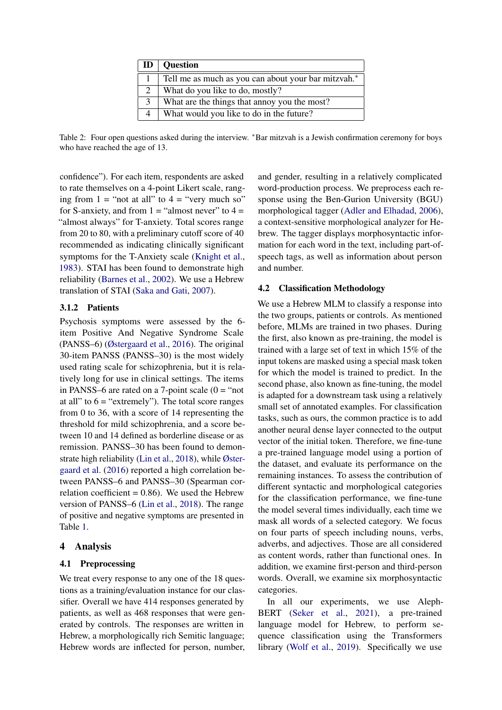<span id="page-4-0"></span>

|                             | $ID \mid Question$                                  |
|-----------------------------|-----------------------------------------------------|
|                             | Tell me as much as you can about your bar mitzvah.* |
| $\mathcal{D}_{\mathcal{L}}$ | What do you like to do, mostly?                     |
| 3                           | What are the things that annoy you the most?        |
|                             | What would you like to do in the future?            |

Table 2: Four open questions asked during the interview. \*Bar mitzvah is a Jewish confirmation ceremony for boys who have reached the age of 13.

confidence"). For each item, respondents are asked to rate themselves on a 4-point Likert scale, ranging from  $1 =$  "not at all" to  $4 =$  "very much so" for S-anxiety, and from  $1 =$  "almost never" to  $4 =$ "almost always" for T-anxiety. Total scores range from 20 to 80, with a preliminary cutoff score of 40 recommended as indicating clinically significant symptoms for the T-Anxiety scale [\(Knight et al.,](#page-9-12) [1983\)](#page-9-12). STAI has been found to demonstrate high reliability [\(Barnes et al.,](#page-8-18) [2002\)](#page-8-18). We use a Hebrew translation of STAI [\(Saka and Gati,](#page-9-13) [2007\)](#page-9-13).

# 3.1.2 Patients

Psychosis symptoms were assessed by the 6 item Positive And Negative Syndrome Scale (PANSS–6) [\(Østergaard et al.,](#page-9-14) [2016\)](#page-9-14). The original 30-item PANSS (PANSS–30) is the most widely used rating scale for schizophrenia, but it is relatively long for use in clinical settings. The items in PANSS–6 are rated on a 7-point scale  $(0 = "not$ at all" to  $6 =$  "extremely"). The total score ranges from 0 to 36, with a score of 14 representing the threshold for mild schizophrenia, and a score between 10 and 14 defined as borderline disease or as remission. PANSS–30 has been found to demonstrate high reliability [\(Lin et al.,](#page-9-15) [2018\)](#page-9-15), while [Øster](#page-9-14)[gaard et al.](#page-9-14) [\(2016\)](#page-9-14) reported a high correlation between PANSS–6 and PANSS–30 (Spearman correlation coefficient  $= 0.86$ ). We used the Hebrew version of PANSS–6 [\(Lin et al.,](#page-9-15) [2018\)](#page-9-15). The range of positive and negative symptoms are presented in Table [1.](#page-3-1)

# 4 Analysis

### 4.1 Preprocessing

We treat every response to any one of the 18 questions as a training/evaluation instance for our classifier. Overall we have 414 responses generated by patients, as well as 468 responses that were generated by controls. The responses are written in Hebrew, a morphologically rich Semitic language; Hebrew words are inflected for person, number, and gender, resulting in a relatively complicated word-production process. We preprocess each response using the Ben-Gurion University (BGU) morphological tagger [\(Adler and Elhadad,](#page-8-19) [2006\)](#page-8-19), a context-sensitive morphological analyzer for Hebrew. The tagger displays morphosyntactic information for each word in the text, including part-ofspeech tags, as well as information about person and number.

### 4.2 Classification Methodology

We use a Hebrew MLM to classify a response into the two groups, patients or controls. As mentioned before, MLMs are trained in two phases. During the first, also known as pre-training, the model is trained with a large set of text in which 15% of the input tokens are masked using a special mask token for which the model is trained to predict. In the second phase, also known as fine-tuning, the model is adapted for a downstream task using a relatively small set of annotated examples. For classification tasks, such as ours, the common practice is to add another neural dense layer connected to the output vector of the initial token. Therefore, we fine-tune a pre-trained language model using a portion of the dataset, and evaluate its performance on the remaining instances. To assess the contribution of different syntactic and morphological categories for the classification performance, we fine-tune the model several times individually, each time we mask all words of a selected category. We focus on four parts of speech including nouns, verbs, adverbs, and adjectives. Those are all considered as content words, rather than functional ones. In addition, we examine first-person and third-person words. Overall, we examine six morphosyntactic categories.

In all our experiments, we use Aleph-BERT [\(Seker et al.,](#page-9-16) [2021\)](#page-9-16), a pre-trained language model for Hebrew, to perform sequence classification using the Transformers library [\(Wolf et al.,](#page-9-17) [2019\)](#page-9-17). Specifically we use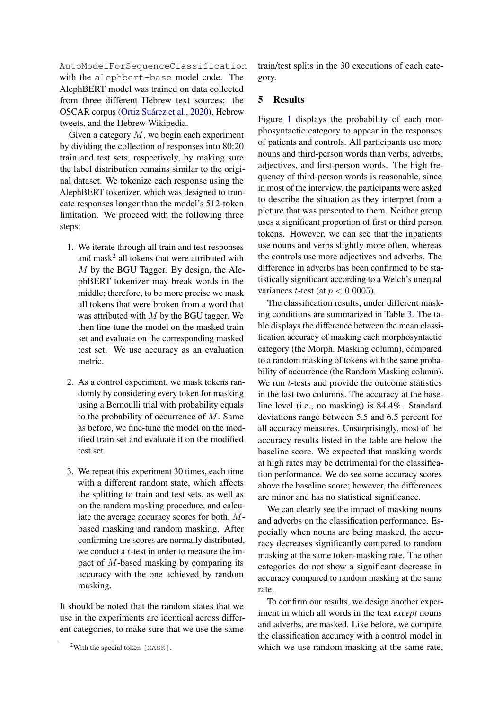AutoModelForSequenceClassification with the alephbert-base model code. The AlephBERT model was trained on data collected from three different Hebrew text sources: the OSCAR corpus [\(Ortiz Suárez et al.,](#page-9-18) [2020\)](#page-9-18), Hebrew tweets, and the Hebrew Wikipedia.

Given a category  $M$ , we begin each experiment by dividing the collection of responses into 80:20 train and test sets, respectively, by making sure the label distribution remains similar to the original dataset. We tokenize each response using the AlephBERT tokenizer, which was designed to truncate responses longer than the model's 512-token limitation. We proceed with the following three steps:

- 1. We iterate through all train and test responses and mask<sup>[2](#page-5-0)</sup> all tokens that were attributed with M by the BGU Tagger. By design, the AlephBERT tokenizer may break words in the middle; therefore, to be more precise we mask all tokens that were broken from a word that was attributed with  $M$  by the BGU tagger. We then fine-tune the model on the masked train set and evaluate on the corresponding masked test set. We use accuracy as an evaluation metric.
- 2. As a control experiment, we mask tokens randomly by considering every token for masking using a Bernoulli trial with probability equals to the probability of occurrence of  $M$ . Same as before, we fine-tune the model on the modified train set and evaluate it on the modified test set.
- 3. We repeat this experiment 30 times, each time with a different random state, which affects the splitting to train and test sets, as well as on the random masking procedure, and calculate the average accuracy scores for both, Mbased masking and random masking. After confirming the scores are normally distributed, we conduct a t-test in order to measure the impact of M-based masking by comparing its accuracy with the one achieved by random masking.

It should be noted that the random states that we use in the experiments are identical across different categories, to make sure that we use the same

train/test splits in the 30 executions of each category.

# 5 Results

Figure [1](#page-6-0) displays the probability of each morphosyntactic category to appear in the responses of patients and controls. All participants use more nouns and third-person words than verbs, adverbs, adjectives, and first-person words. The high frequency of third-person words is reasonable, since in most of the interview, the participants were asked to describe the situation as they interpret from a picture that was presented to them. Neither group uses a significant proportion of first or third person tokens. However, we can see that the inpatients use nouns and verbs slightly more often, whereas the controls use more adjectives and adverbs. The difference in adverbs has been confirmed to be statistically significant according to a Welch's unequal variances *t*-test (at  $p < 0.0005$ ).

The classification results, under different masking conditions are summarized in Table [3.](#page-7-0) The table displays the difference between the mean classification accuracy of masking each morphosyntactic category (the Morph. Masking column), compared to a random masking of tokens with the same probability of occurrence (the Random Masking column). We run  $t$ -tests and provide the outcome statistics in the last two columns. The accuracy at the baseline level (i.e., no masking) is 84.4%. Standard deviations range between 5.5 and 6.5 percent for all accuracy measures. Unsurprisingly, most of the accuracy results listed in the table are below the baseline score. We expected that masking words at high rates may be detrimental for the classification performance. We do see some accuracy scores above the baseline score; however, the differences are minor and has no statistical significance.

We can clearly see the impact of masking nouns and adverbs on the classification performance. Especially when nouns are being masked, the accuracy decreases significantly compared to random masking at the same token-masking rate. The other categories do not show a significant decrease in accuracy compared to random masking at the same rate.

To confirm our results, we design another experiment in which all words in the text *except* nouns and adverbs, are masked. Like before, we compare the classification accuracy with a control model in which we use random masking at the same rate,

<span id="page-5-0"></span><sup>&</sup>lt;sup>2</sup>With the special token  $[MASK]$ .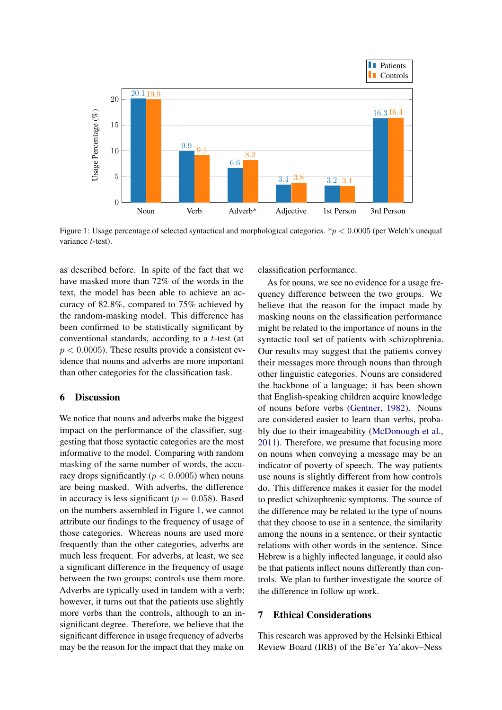<span id="page-6-0"></span>

Figure 1: Usage percentage of selected syntactical and morphological categories. \*p < 0.0005 (per Welch's unequal variance *t*-test).

as described before. In spite of the fact that we have masked more than 72% of the words in the text, the model has been able to achieve an accuracy of 82.8%, compared to 75% achieved by the random-masking model. This difference has been confirmed to be statistically significant by conventional standards, according to a t-test (at  $p < 0.0005$ ). These results provide a consistent evidence that nouns and adverbs are more important than other categories for the classification task.

#### 6 Discussion

We notice that nouns and adverbs make the biggest impact on the performance of the classifier, suggesting that those syntactic categories are the most informative to the model. Comparing with random masking of the same number of words, the accuracy drops significantly ( $p < 0.0005$ ) when nouns are being masked. With adverbs, the difference in accuracy is less significant ( $p = 0.058$ ). Based on the numbers assembled in Figure [1,](#page-6-0) we cannot attribute our findings to the frequency of usage of those categories. Whereas nouns are used more frequently than the other categories, adverbs are much less frequent. For adverbs, at least, we see a significant difference in the frequency of usage between the two groups; controls use them more. Adverbs are typically used in tandem with a verb; however, it turns out that the patients use slightly more verbs than the controls, although to an insignificant degree. Therefore, we believe that the significant difference in usage frequency of adverbs may be the reason for the impact that they make on

classification performance.

As for nouns, we see no evidence for a usage frequency difference between the two groups. We believe that the reason for the impact made by masking nouns on the classification performance might be related to the importance of nouns in the syntactic tool set of patients with schizophrenia. Our results may suggest that the patients convey their messages more through nouns than through other linguistic categories. Nouns are considered the backbone of a language; it has been shown that English-speaking children acquire knowledge of nouns before verbs [\(Gentner,](#page-8-20) [1982\)](#page-8-20). Nouns are considered easier to learn than verbs, probably due to their imageability [\(McDonough et al.,](#page-9-19) [2011\)](#page-9-19). Therefore, we presume that focusing more on nouns when conveying a message may be an indicator of poverty of speech. The way patients use nouns is slightly different from how controls do. This difference makes it easier for the model to predict schizophrenic symptoms. The source of the difference may be related to the type of nouns that they choose to use in a sentence, the similarity among the nouns in a sentence, or their syntactic relations with other words in the sentence. Since Hebrew is a highly inflected language, it could also be that patients inflect nouns differently than controls. We plan to further investigate the source of the difference in follow up work.

# 7 Ethical Considerations

This research was approved by the Helsinki Ethical Review Board (IRB) of the Be'er Ya'akov–Ness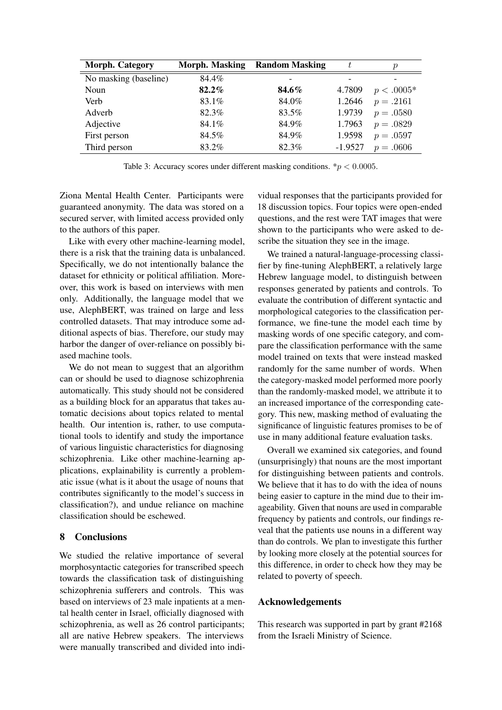<span id="page-7-0"></span>

| Morph. Category       | Morph. Masking | <b>Random Masking</b> |           | $\boldsymbol{p}$ |
|-----------------------|----------------|-----------------------|-----------|------------------|
| No masking (baseline) | 84.4%          |                       |           |                  |
| Noun                  | 82.2%          | 84.6%                 | 4.7809    | $p < .0005*$     |
| Verb                  | 83.1%          | 84.0%                 | 1.2646    | $p=.2161$        |
| Adverb                | 82.3%          | 83.5%                 | 1.9739    | $p=.0580$        |
| Adjective             | 84.1%          | 84.9%                 | 1.7963    | $p=.0829$        |
| First person          | 84.5%          | 84.9%                 | 1.9598    | $p=.0597$        |
| Third person          | 83.2%          | 82.3%                 | $-1.9527$ | $p = .0606$      |

Table 3: Accuracy scores under different masking conditions.  $\frac{*p}{*} < 0.0005$ .

Ziona Mental Health Center. Participants were guaranteed anonymity. The data was stored on a secured server, with limited access provided only to the authors of this paper.

Like with every other machine-learning model, there is a risk that the training data is unbalanced. Specifically, we do not intentionally balance the dataset for ethnicity or political affiliation. Moreover, this work is based on interviews with men only. Additionally, the language model that we use, AlephBERT, was trained on large and less controlled datasets. That may introduce some additional aspects of bias. Therefore, our study may harbor the danger of over-reliance on possibly biased machine tools.

We do not mean to suggest that an algorithm can or should be used to diagnose schizophrenia automatically. This study should not be considered as a building block for an apparatus that takes automatic decisions about topics related to mental health. Our intention is, rather, to use computational tools to identify and study the importance of various linguistic characteristics for diagnosing schizophrenia. Like other machine-learning applications, explainability is currently a problematic issue (what is it about the usage of nouns that contributes significantly to the model's success in classification?), and undue reliance on machine classification should be eschewed.

# 8 Conclusions

We studied the relative importance of several morphosyntactic categories for transcribed speech towards the classification task of distinguishing schizophrenia sufferers and controls. This was based on interviews of 23 male inpatients at a mental health center in Israel, officially diagnosed with schizophrenia, as well as 26 control participants; all are native Hebrew speakers. The interviews were manually transcribed and divided into individual responses that the participants provided for 18 discussion topics. Four topics were open-ended questions, and the rest were TAT images that were shown to the participants who were asked to describe the situation they see in the image.

We trained a natural-language-processing classifier by fine-tuning AlephBERT, a relatively large Hebrew language model, to distinguish between responses generated by patients and controls. To evaluate the contribution of different syntactic and morphological categories to the classification performance, we fine-tune the model each time by masking words of one specific category, and compare the classification performance with the same model trained on texts that were instead masked randomly for the same number of words. When the category-masked model performed more poorly than the randomly-masked model, we attribute it to an increased importance of the corresponding category. This new, masking method of evaluating the significance of linguistic features promises to be of use in many additional feature evaluation tasks.

Overall we examined six categories, and found (unsurprisingly) that nouns are the most important for distinguishing between patients and controls. We believe that it has to do with the idea of nouns being easier to capture in the mind due to their imageability. Given that nouns are used in comparable frequency by patients and controls, our findings reveal that the patients use nouns in a different way than do controls. We plan to investigate this further by looking more closely at the potential sources for this difference, in order to check how they may be related to poverty of speech.

### Acknowledgements

This research was supported in part by grant #2168 from the Israeli Ministry of Science.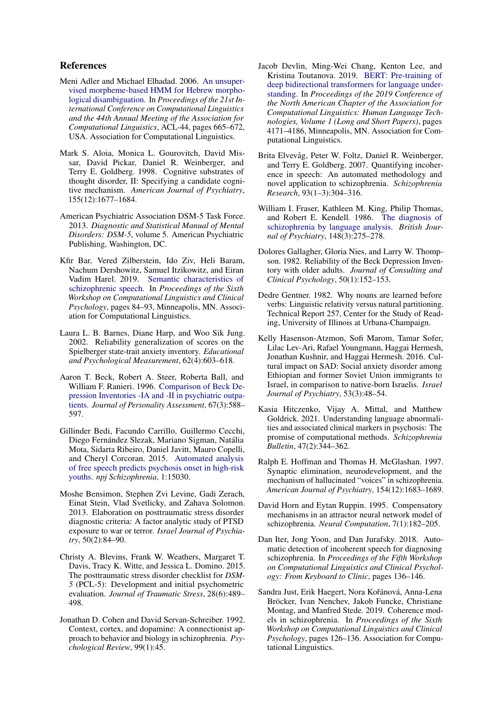# References

- <span id="page-8-19"></span>Meni Adler and Michael Elhadad. 2006. [An unsuper](https://doi.org/10.3115/1220175.1220259)[vised morpheme-based HMM for Hebrew morpho](https://doi.org/10.3115/1220175.1220259)[logical disambiguation.](https://doi.org/10.3115/1220175.1220259) In *Proceedings of the 21st International Conference on Computational Linguistics and the 44th Annual Meeting of the Association for Computational Linguistics*, ACL-44, pages 665–672, USA. Association for Computational Linguistics.
- <span id="page-8-0"></span>Mark S. Aloia, Monica L. Gourovitch, David Missar, David Pickar, Daniel R. Weinberger, and Terry E. Goldberg. 1998. Cognitive substrates of thought disorder, II: Specifying a candidate cognitive mechanism. *American Journal of Psychiatry*, 155(12):1677–1684.
- <span id="page-8-12"></span>American Psychiatric Association DSM-5 Task Force. 2013. *Diagnostic and Statistical Manual of Mental Disorders: DSM-5*, volume 5. American Psychiatric Publishing, Washington, DC.
- <span id="page-8-1"></span>Kfir Bar, Vered Zilberstein, Ido Ziv, Heli Baram, Nachum Dershowitz, Samuel Itzikowitz, and Eiran Vadim Harel. 2019. [Semantic characteristics of](https://doi.org/10.18653/v1/W19-3010) [schizophrenic speech.](https://doi.org/10.18653/v1/W19-3010) In *Proceedings of the Sixth Workshop on Computational Linguistics and Clinical Psychology*, pages 84–93, Minneapolis, MN. Association for Computational Linguistics.
- <span id="page-8-18"></span>Laura L. B. Barnes, Diane Harp, and Woo Sik Jung. 2002. Reliability generalization of scores on the Spielberger state-trait anxiety inventory. *Educational and Psychological Measurement*, 62(4):603–618.
- <span id="page-8-13"></span>Aaron T. Beck, Robert A. Steer, Roberta Ball, and William F. Ranieri. 1996. [Comparison of Beck De](https://doi.org/10.1207/s15327752jpa6703_13)[pression Inventories -IA and -II in psychiatric outpa](https://doi.org/10.1207/s15327752jpa6703_13)[tients.](https://doi.org/10.1207/s15327752jpa6703_13) *Journal of Personality Assessment*, 67(3):588– 597.
- <span id="page-8-6"></span>Gillinder Bedi, Facundo Carrillo, Guillermo Cecchi, Diego Fernández Slezak, Mariano Sigman, Natália Mota, Sidarta Ribeiro, Daniel Javitt, Mauro Copelli, and Cheryl Corcoran. 2015. [Automated analysis](https://doi.org/10.1038/npjschz.2015.30) [of free speech predicts psychosis onset in high-risk](https://doi.org/10.1038/npjschz.2015.30) [youths.](https://doi.org/10.1038/npjschz.2015.30) *npj Schizophrenia*, 1:15030.
- <span id="page-8-17"></span>Moshe Bensimon, Stephen Zvi Levine, Gadi Zerach, Einat Stein, Vlad Svetlicky, and Zahava Solomon. 2013. Elaboration on posttraumatic stress disorder diagnostic criteria: A factor analytic study of PTSD exposure to war or terror. *Israel Journal of Psychiatry*, 50(2):84–90.
- <span id="page-8-16"></span>Christy A. Blevins, Frank W. Weathers, Margaret T. Davis, Tracy K. Witte, and Jessica L. Domino. 2015. The posttraumatic stress disorder checklist for *DSM-5* (PCL-5): Development and initial psychometric evaluation. *Journal of Traumatic Stress*, 28(6):489– 498.
- <span id="page-8-5"></span>Jonathan D. Cohen and David Servan-Schreiber. 1992. Context, cortex, and dopamine: A connectionist approach to behavior and biology in schizophrenia. *Psychological Review*, 99(1):45.
- <span id="page-8-11"></span>Jacob Devlin, Ming-Wei Chang, Kenton Lee, and Kristina Toutanova. 2019. [BERT: Pre-training of](https://doi.org/10.18653/v1/N19-1423) [deep bidirectional transformers for language under](https://doi.org/10.18653/v1/N19-1423)[standing.](https://doi.org/10.18653/v1/N19-1423) In *Proceedings of the 2019 Conference of the North American Chapter of the Association for Computational Linguistics: Human Language Technologies, Volume 1 (Long and Short Papers)*, pages 4171–4186, Minneapolis, MN. Association for Computational Linguistics.
- <span id="page-8-9"></span>Brita Elvevåg, Peter W. Foltz, Daniel R. Weinberger, and Terry E. Goldberg. 2007. Quantifying incoherence in speech: An automated methodology and novel application to schizophrenia. *Schizophrenia Research*, 93(1–3):304–316.
- <span id="page-8-2"></span>William I. Fraser, Kathleen M. King, Philip Thomas, and Robert E. Kendell. 1986. [The diagnosis of](https://doi.org/10.1192/bjp.148.3.275) [schizophrenia by language analysis.](https://doi.org/10.1192/bjp.148.3.275) *British Journal of Psychiatry*, 148(3):275–278.
- <span id="page-8-14"></span>Dolores Gallagher, Gloria Nies, and Larry W. Thompson. 1982. Reliability of the Beck Depression Inventory with older adults. *Journal of Consulting and Clinical Psychology*, 50(1):152–153.
- <span id="page-8-20"></span>Dedre Gentner. 1982. Why nouns are learned before verbs: Linguistic relativity versus natural partitioning. Technical Report 257, Center for the Study of Reading, University of Illinois at Urbana-Champaign.
- <span id="page-8-15"></span>Kelly Hasenson-Atzmon, Sofi Marom, Tamar Sofer, Lilac Lev-Ari, Rafael Youngmann, Haggai Hermesh, Jonathan Kushnir, and Haggai Hermesh. 2016. Cultural impact on SAD: Social anxiety disorder among Ethiopian and former Soviet Union immigrants to Israel, in comparison to native-born Israelis. *Israel Journal of Psychiatry*, 53(3):48–54.
- <span id="page-8-8"></span>Kasia Hitczenko, Vijay A. Mittal, and Matthew Goldrick. 2021. Understanding language abnormalities and associated clinical markers in psychosis: The promise of computational methods. *Schizophrenia Bulletin*, 47(2):344–362.
- <span id="page-8-3"></span>Ralph E. Hoffman and Thomas H. McGlashan. 1997. Synaptic elimination, neurodevelopment, and the mechanism of hallucinated "voices" in schizophrenia. *American Journal of Psychiatry*, 154(12):1683–1689.
- <span id="page-8-4"></span>David Horn and Eytan Ruppin. 1995. Compensatory mechanisms in an attractor neural network model of schizophrenia. *Neural Computation*, 7(1):182–205.
- <span id="page-8-7"></span>Dan Iter, Jong Yoon, and Dan Jurafsky. 2018. Automatic detection of incoherent speech for diagnosing schizophrenia. In *Proceedings of the Fifth Workshop on Computational Linguistics and Clinical Psychology: From Keyboard to Clinic*, pages 136–146.
- <span id="page-8-10"></span>Sandra Just, Erik Haegert, Nora Kořánová, Anna-Lena Bröcker, Ivan Nenchev, Jakob Funcke, Christiane Montag, and Manfred Stede. 2019. Coherence models in schizophrenia. In *Proceedings of the Sixth Workshop on Computational Linguistics and Clinical Psychology*, pages 126–136. Association for Computational Linguistics.